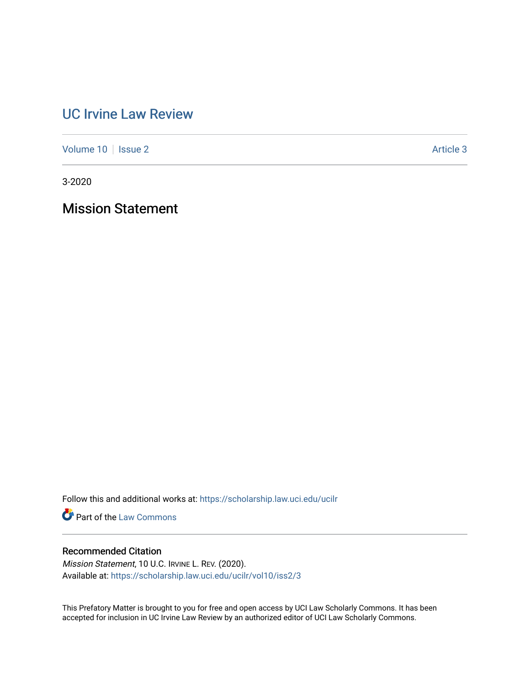# [UC Irvine Law Review](https://scholarship.law.uci.edu/ucilr)

[Volume 10](https://scholarship.law.uci.edu/ucilr/vol10) | [Issue 2](https://scholarship.law.uci.edu/ucilr/vol10/iss2) Article 3

3-2020

Mission Statement

Follow this and additional works at: [https://scholarship.law.uci.edu/ucilr](https://scholarship.law.uci.edu/ucilr?utm_source=scholarship.law.uci.edu%2Fucilr%2Fvol10%2Fiss2%2F3&utm_medium=PDF&utm_campaign=PDFCoverPages)

**Part of the [Law Commons](http://network.bepress.com/hgg/discipline/578?utm_source=scholarship.law.uci.edu%2Fucilr%2Fvol10%2Fiss2%2F3&utm_medium=PDF&utm_campaign=PDFCoverPages)** 

## Recommended Citation

Mission Statement, 10 U.C. IRVINE L. REV. (2020). Available at: [https://scholarship.law.uci.edu/ucilr/vol10/iss2/3](https://scholarship.law.uci.edu/ucilr/vol10/iss2/3?utm_source=scholarship.law.uci.edu%2Fucilr%2Fvol10%2Fiss2%2F3&utm_medium=PDF&utm_campaign=PDFCoverPages) 

This Prefatory Matter is brought to you for free and open access by UCI Law Scholarly Commons. It has been accepted for inclusion in UC Irvine Law Review by an authorized editor of UCI Law Scholarly Commons.